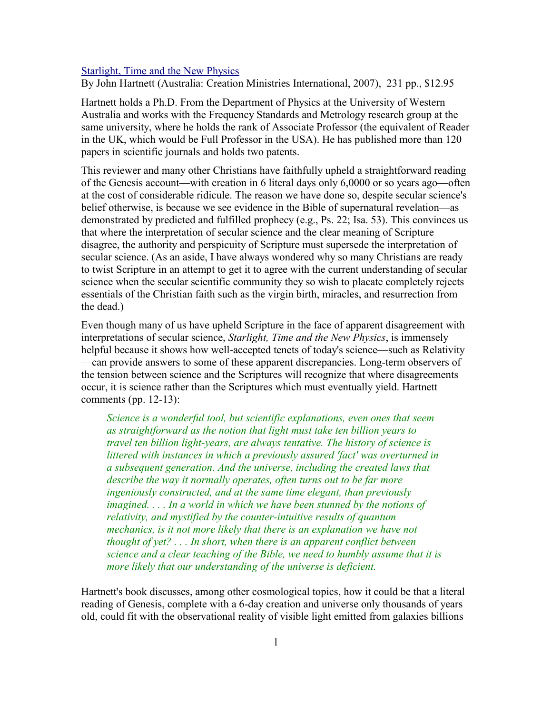## [Starlight, Time and the New Physics](http://www.bestbookdeal.com/book/compare/978-0-949906-68-7)

By John Hartnett (Australia: Creation Ministries International, 2007), 231 pp., \$12.95

Hartnett holds a Ph.D. From the Department of Physics at the University of Western Australia and works with the Frequency Standards and Metrology research group at the same university, where he holds the rank of Associate Professor (the equivalent of Reader in the UK, which would be Full Professor in the USA). He has published more than 120 papers in scientific journals and holds two patents.

This reviewer and many other Christians have faithfully upheld a straightforward reading of the Genesis account—with creation in 6 literal days only 6,0000 or so years ago—often at the cost of considerable ridicule. The reason we have done so, despite secular science's belief otherwise, is because we see evidence in the Bible of supernatural revelation—as demonstrated by predicted and fulfilled prophecy (e.g., Ps. 22; Isa. 53). This convinces us that where the interpretation of secular science and the clear meaning of Scripture disagree, the authority and perspicuity of Scripture must supersede the interpretation of secular science. (As an aside, I have always wondered why so many Christians are ready to twist Scripture in an attempt to get it to agree with the current understanding of secular science when the secular scientific community they so wish to placate completely rejects essentials of the Christian faith such as the virgin birth, miracles, and resurrection from the dead.)

Even though many of us have upheld Scripture in the face of apparent disagreement with interpretations of secular science, *Starlight, Time and the New Physics*, is immensely helpful because it shows how well-accepted tenets of today's science—such as Relativity —can provide answers to some of these apparent discrepancies. Long-term observers of the tension between science and the Scriptures will recognize that where disagreements occur, it is science rather than the Scriptures which must eventually yield. Hartnett comments (pp. 12-13):

*Science is a wonderful tool, but scientific explanations, even ones that seem as straightforward as the notion that light must take ten billion years to travel ten billion light-years, are always tentative. The history of science is littered with instances in which a previously assured 'fact' was overturned in a subsequent generation. And the universe, including the created laws that describe the way it normally operates, often turns out to be far more ingeniously constructed, and at the same time elegant, than previously imagined. . . . In a world in which we have been stunned by the notions of relativity, and mystified by the counter-intuitive results of quantum mechanics, is it not more likely that there is an explanation we have not thought of yet? . . . In short, when there is an apparent conflict between science and a clear teaching of the Bible, we need to humbly assume that it is more likely that our understanding of the universe is deficient.*

Hartnett's book discusses, among other cosmological topics, how it could be that a literal reading of Genesis, complete with a 6-day creation and universe only thousands of years old, could fit with the observational reality of visible light emitted from galaxies billions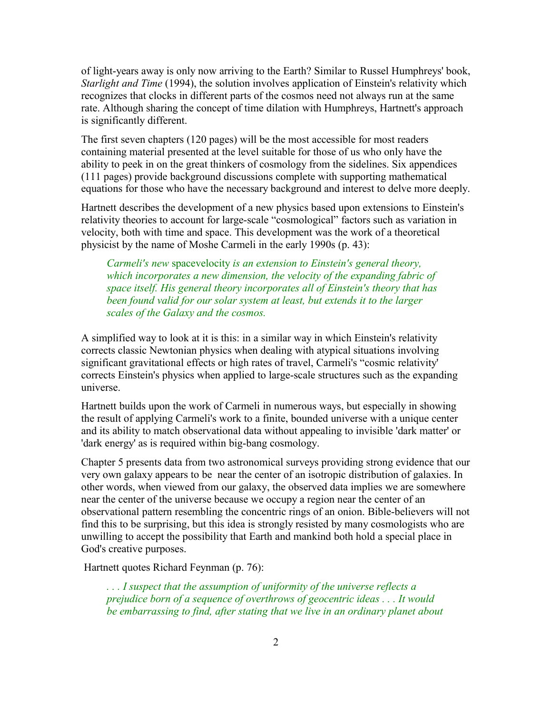of light-years away is only now arriving to the Earth? Similar to Russel Humphreys' book, *Starlight and Time* (1994), the solution involves application of Einstein's relativity which recognizes that clocks in different parts of the cosmos need not always run at the same rate. Although sharing the concept of time dilation with Humphreys, Hartnett's approach is significantly different.

The first seven chapters (120 pages) will be the most accessible for most readers containing material presented at the level suitable for those of us who only have the ability to peek in on the great thinkers of cosmology from the sidelines. Six appendices (111 pages) provide background discussions complete with supporting mathematical equations for those who have the necessary background and interest to delve more deeply.

Hartnett describes the development of a new physics based upon extensions to Einstein's relativity theories to account for large-scale "cosmological" factors such as variation in velocity, both with time and space. This development was the work of a theoretical physicist by the name of Moshe Carmeli in the early 1990s (p. 43):

*Carmeli's new* spacevelocity *is an extension to Einstein's general theory, which incorporates a new dimension, the velocity of the expanding fabric of space itself. His general theory incorporates all of Einstein's theory that has been found valid for our solar system at least, but extends it to the larger scales of the Galaxy and the cosmos.*

A simplified way to look at it is this: in a similar way in which Einstein's relativity corrects classic Newtonian physics when dealing with atypical situations involving significant gravitational effects or high rates of travel, Carmeli's "cosmic relativity' corrects Einstein's physics when applied to large-scale structures such as the expanding universe.

Hartnett builds upon the work of Carmeli in numerous ways, but especially in showing the result of applying Carmeli's work to a finite, bounded universe with a unique center and its ability to match observational data without appealing to invisible 'dark matter' or 'dark energy' as is required within big-bang cosmology.

Chapter 5 presents data from two astronomical surveys providing strong evidence that our very own galaxy appears to be near the center of an isotropic distribution of galaxies. In other words, when viewed from our galaxy, the observed data implies we are somewhere near the center of the universe because we occupy a region near the center of an observational pattern resembling the concentric rings of an onion. Bible-believers will not find this to be surprising, but this idea is strongly resisted by many cosmologists who are unwilling to accept the possibility that Earth and mankind both hold a special place in God's creative purposes.

Hartnett quotes Richard Feynman (p. 76):

*. . . I suspect that the assumption of uniformity of the universe reflects a prejudice born of a sequence of overthrows of geocentric ideas . . . It would be embarrassing to find, after stating that we live in an ordinary planet about*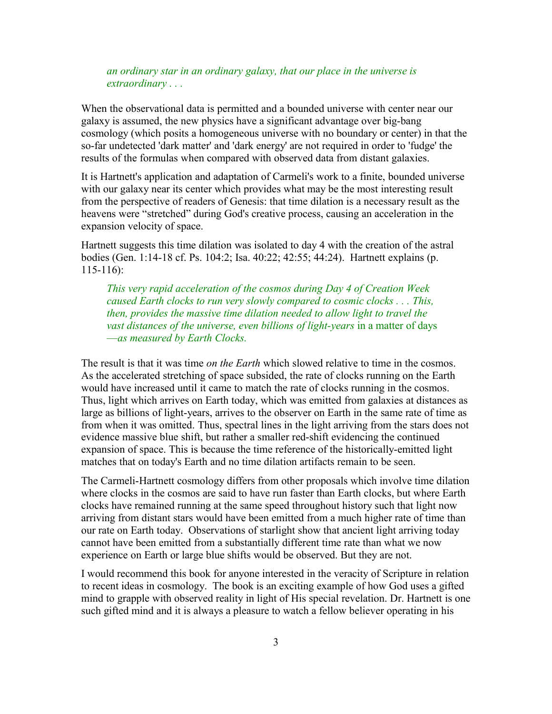*an ordinary star in an ordinary galaxy, that our place in the universe is extraordinary . . .*

When the observational data is permitted and a bounded universe with center near our galaxy is assumed, the new physics have a significant advantage over big-bang cosmology (which posits a homogeneous universe with no boundary or center) in that the so-far undetected 'dark matter' and 'dark energy' are not required in order to 'fudge' the results of the formulas when compared with observed data from distant galaxies.

It is Hartnett's application and adaptation of Carmeli's work to a finite, bounded universe with our galaxy near its center which provides what may be the most interesting result from the perspective of readers of Genesis: that time dilation is a necessary result as the heavens were "stretched" during God's creative process, causing an acceleration in the expansion velocity of space.

Hartnett suggests this time dilation was isolated to day 4 with the creation of the astral bodies (Gen. 1:14-18 cf. Ps. 104:2; Isa. 40:22; 42:55; 44:24). Hartnett explains (p. 115-116):

*This very rapid acceleration of the cosmos during Day 4 of Creation Week caused Earth clocks to run very slowly compared to cosmic clocks . . . This, then, provides the massive time dilation needed to allow light to travel the vast distances of the universe, even billions of light-years* in a matter of days —*as measured by Earth Clocks.*

The result is that it was time *on the Earth* which slowed relative to time in the cosmos. As the accelerated stretching of space subsided, the rate of clocks running on the Earth would have increased until it came to match the rate of clocks running in the cosmos. Thus, light which arrives on Earth today, which was emitted from galaxies at distances as large as billions of light-years, arrives to the observer on Earth in the same rate of time as from when it was omitted. Thus, spectral lines in the light arriving from the stars does not evidence massive blue shift, but rather a smaller red-shift evidencing the continued expansion of space. This is because the time reference of the historically-emitted light matches that on today's Earth and no time dilation artifacts remain to be seen.

The Carmeli-Hartnett cosmology differs from other proposals which involve time dilation where clocks in the cosmos are said to have run faster than Earth clocks, but where Earth clocks have remained running at the same speed throughout history such that light now arriving from distant stars would have been emitted from a much higher rate of time than our rate on Earth today. Observations of starlight show that ancient light arriving today cannot have been emitted from a substantially different time rate than what we now experience on Earth or large blue shifts would be observed. But they are not.

I would recommend this book for anyone interested in the veracity of Scripture in relation to recent ideas in cosmology. The book is an exciting example of how God uses a gifted mind to grapple with observed reality in light of His special revelation. Dr. Hartnett is one such gifted mind and it is always a pleasure to watch a fellow believer operating in his